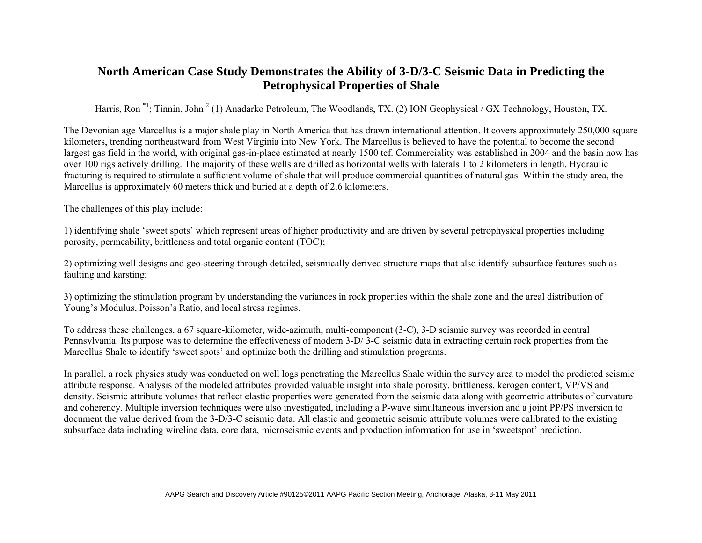## **North American Case Study Demonstrates the Ability of 3-D/3-C Seismic Data in Predicting the Petrophysical Properties of Shale**

Harris, Ron<sup>\*1</sup>; Tinnin, John<sup>2</sup> (1) Anadarko Petroleum, The Woodlands, TX. (2) ION Geophysical / GX Technology, Houston, TX.

The Devonian age Marcellus is a major shale play in North America that has drawn international attention. It covers approximately 250,000 square kilometers, trending northeastward from West Virginia into New York. The Marcellus is believed to have the potential to become the second largest gas field in the world, with original gas-in-place estimated at nearly 1500 tcf. Commerciality was established in 2004 and the basin now has over 100 rigs actively drilling. The majority of these wells are drilled as horizontal wells with laterals 1 to 2 kilometers in length. Hydraulic fracturing is required to stimulate a sufficient volume of shale that will produce commercial quantities of natural gas. Within the study area, the Marcellus is approximately 60 meters thick and buried at a depth of 2.6 kilometers.

The challenges of this play include:

1) identifying shale 'sweet spots' which represent areas of higher productivity and are driven by several petrophysical properties including porosity, permeability, brittleness and total organic content (TOC);

2) optimizing well designs and geo-steering through detailed, seismically derived structure maps that also identify subsurface features such as faulting and karsting;

3) optimizing the stimulation program by understanding the variances in rock properties within the shale zone and the areal distribution of Young's Modulus, Poisson's Ratio, and local stress regimes.

To address these challenges, a 67 square-kilometer, wide-azimuth, multi-component (3-C), 3-D seismic survey was recorded in central Pennsylvania. Its purpose was to determine the effectiveness of modern 3-D/ 3-C seismic data in extracting certain rock properties from the Marcellus Shale to identify 'sweet spots' and optimize both the drilling and stimulation programs.

In parallel, a rock physics study was conducted on well logs penetrating the Marcellus Shale within the survey area to model the predicted seismic attribute response. Analysis of the modeled attributes provided valuable insight into shale porosity, brittleness, kerogen content, VP/VS and density. Seismic attribute volumes that reflect elastic properties were generated from the seismic data along with geometric attributes of curvature and coherency. Multiple inversion techniques were also investigated, including a P-wave simultaneous inversion and a joint PP/PS inversion to document the value derived from the 3-D/3-C seismic data. All elastic and geometric seismic attribute volumes were calibrated to the existing subsurface data including wireline data, core data, microseismic events and production information for use in 'sweetspot' prediction.